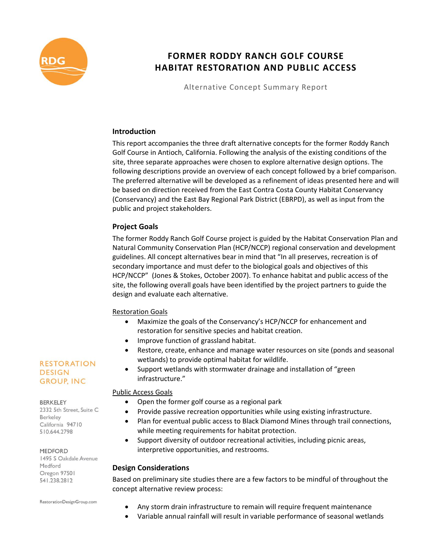

# **FORMER RODDY RANCH GOLF COURSE HABITAT RESTORATION AND PUBLIC ACCESS**

Alternative Concept Summary Report

### **Introduction**

This report accompanies the three draft alternative concepts for the former Roddy Ranch Golf Course in Antioch, California. Following the analysis of the existing conditions of the site, three separate approaches were chosen to explore alternative design options. The following descriptions provide an overview of each concept followed by a brief comparison. The preferred alternative will be developed as a refinement of ideas presented here and will be based on direction received from the East Contra Costa County Habitat Conservancy (Conservancy) and the East Bay Regional Park District (EBRPD), as well as input from the public and project stakeholders.

### **Project Goals**

The former Roddy Ranch Golf Course project is guided by the Habitat Conservation Plan and Natural Community Conservation Plan (HCP/NCCP) regional conservation and development guidelines. All concept alternatives bear in mind that "In all preserves, recreation is of secondary importance and must defer to the biological goals and objectives of this HCP/NCCP" (Jones & Stokes, October 2007). To enhance habitat and public access of the site, the following overall goals have been identified by the project partners to guide the design and evaluate each alternative.

### Restoration Goals

- Maximize the goals of the Conservancy's HCP/NCCP for enhancement and restoration for sensitive species and habitat creation.
- Improve function of grassland habitat.
- Restore, create, enhance and manage water resources on site (ponds and seasonal wetlands) to provide optimal habitat for wildlife.
- Support wetlands with stormwater drainage and installation of "green infrastructure."

### Public Access Goals

- Open the former golf course as a regional park
- Provide passive recreation opportunities while using existing infrastructure.
- Plan for eventual public access to Black Diamond Mines through trail connections, while meeting requirements for habitat protection.
- Support diversity of outdoor recreational activities, including picnic areas, interpretive opportunities, and restrooms.

### **Design Considerations**

Based on preliminary site studies there are a few factors to be mindful of throughout the concept alternative review process:

- Any storm drain infrastructure to remain will require frequent maintenance
- Variable annual rainfall will result in variable performance of seasonal wetlands

# **RESTORATION DESIGN GROUP, INC**

#### **BERKELEY**

2332 5th Street, Suite C Berkeley California 94710 510.644.2798

#### MEDFORD

1495 S Oakdale Avenue Medford Oregon 97501 541.238.2812

RestorationDesignGroup.com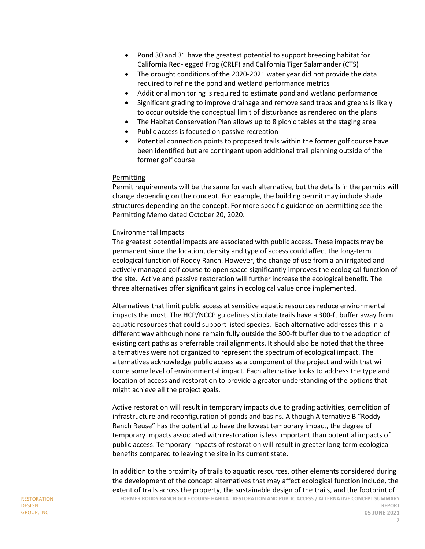- Pond 30 and 31 have the greatest potential to support breeding habitat for California Red-legged Frog (CRLF) and California Tiger Salamander (CTS)
- The drought conditions of the 2020-2021 water year did not provide the data required to refine the pond and wetland performance metrics
- Additional monitoring is required to estimate pond and wetland performance
- Significant grading to improve drainage and remove sand traps and greens is likely to occur outside the conceptual limit of disturbance as rendered on the plans
- The Habitat Conservation Plan allows up to 8 picnic tables at the staging area
- Public access is focused on passive recreation
- Potential connection points to proposed trails within the former golf course have been identified but are contingent upon additional trail planning outside of the former golf course

### Permitting

Permit requirements will be the same for each alternative, but the details in the permits will change depending on the concept. For example, the building permit may include shade structures depending on the concept. For more specific guidance on permitting see the Permitting Memo dated October 20, 2020.

### Environmental Impacts

The greatest potential impacts are associated with public access. These impacts may be permanent since the location, density and type of access could affect the long-term ecological function of Roddy Ranch. However, the change of use from a an irrigated and actively managed golf course to open space significantly improves the ecological function of the site. Active and passive restoration will further increase the ecological benefit. The three alternatives offer significant gains in ecological value once implemented.

Alternatives that limit public access at sensitive aquatic resources reduce environmental impacts the most. The HCP/NCCP guidelines stipulate trails have a 300-ft buffer away from aquatic resources that could support listed species. Each alternative addresses this in a different way although none remain fully outside the 300-ft buffer due to the adoption of existing cart paths as preferrable trail alignments. It should also be noted that the three alternatives were not organized to represent the spectrum of ecological impact. The alternatives acknowledge public access as a component of the project and with that will come some level of environmental impact. Each alternative looks to address the type and location of access and restoration to provide a greater understanding of the options that might achieve all the project goals.

Active restoration will result in temporary impacts due to grading activities, demolition of infrastructure and reconfiguration of ponds and basins. Although Alternative B "Roddy Ranch Reuse" has the potential to have the lowest temporary impact, the degree of temporary impacts associated with restoration is less important than potential impacts of public access. Temporary impacts of restoration will result in greater long-term ecological benefits compared to leaving the site in its current state.

In addition to the proximity of trails to aquatic resources, other elements considered during the development of the concept alternatives that may affect ecological function include, the extent of trails across the property, the sustainable design of the trails, and the footprint of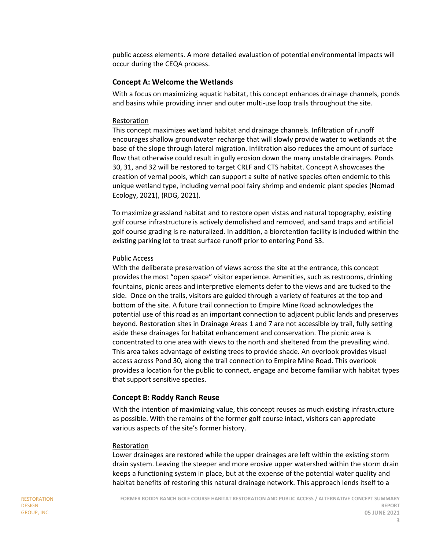public access elements. A more detailed evaluation of potential environmental impacts will occur during the CEQA process.

### **Concept A: Welcome the Wetlands**

With a focus on maximizing aquatic habitat, this concept enhances drainage channels, ponds and basins while providing inner and outer multi-use loop trails throughout the site.

#### Restoration

This concept maximizes wetland habitat and drainage channels. Infiltration of runoff encourages shallow groundwater recharge that will slowly provide water to wetlands at the base of the slope through lateral migration. Infiltration also reduces the amount of surface flow that otherwise could result in gully erosion down the many unstable drainages. Ponds 30, 31, and 32 will be restored to target CRLF and CTS habitat. Concept A showcases the creation of vernal pools, which can support a suite of native species often endemic to this unique wetland type, including vernal pool fairy shrimp and endemic plant species (Nomad Ecology, 2021), (RDG, 2021).

To maximize grassland habitat and to restore open vistas and natural topography, existing golf course infrastructure is actively demolished and removed, and sand traps and artificial golf course grading is re-naturalized. In addition, a bioretention facility is included within the existing parking lot to treat surface runoff prior to entering Pond 33.

### Public Access

With the deliberate preservation of views across the site at the entrance, this concept provides the most "open space" visitor experience. Amenities, such as restrooms, drinking fountains, picnic areas and interpretive elements defer to the views and are tucked to the side. Once on the trails, visitors are guided through a variety of features at the top and bottom of the site. A future trail connection to Empire Mine Road acknowledges the potential use of this road as an important connection to adjacent public lands and preserves beyond. Restoration sites in Drainage Areas 1 and 7 are not accessible by trail, fully setting aside these drainages for habitat enhancement and conservation. The picnic area is concentrated to one area with views to the north and sheltered from the prevailing wind. This area takes advantage of existing trees to provide shade. An overlook provides visual access across Pond 30, along the trail connection to Empire Mine Road. This overlook provides a location for the public to connect, engage and become familiar with habitat types that support sensitive species.

### **Concept B: Roddy Ranch Reuse**

With the intention of maximizing value, this concept reuses as much existing infrastructure as possible. With the remains of the former golf course intact, visitors can appreciate various aspects of the site's former history.

#### Restoration

Lower drainages are restored while the upper drainages are left within the existing storm drain system. Leaving the steeper and more erosive upper watershed within the storm drain keeps a functioning system in place, but at the expense of the potential water quality and habitat benefits of restoring this natural drainage network. This approach lends itself to a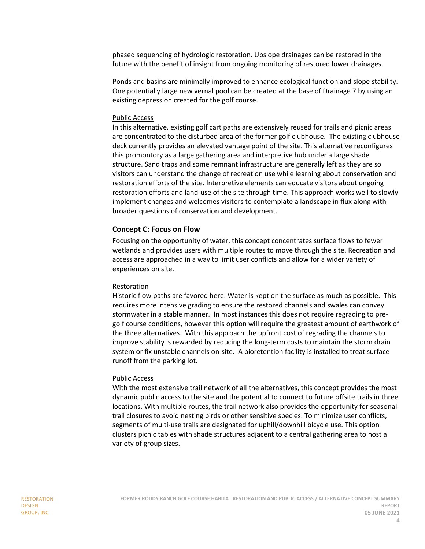phased sequencing of hydrologic restoration. Upslope drainages can be restored in the future with the benefit of insight from ongoing monitoring of restored lower drainages.

Ponds and basins are minimally improved to enhance ecological function and slope stability. One potentially large new vernal pool can be created at the base of Drainage 7 by using an existing depression created for the golf course.

#### Public Access

In this alternative, existing golf cart paths are extensively reused for trails and picnic areas are concentrated to the disturbed area of the former golf clubhouse. The existing clubhouse deck currently provides an elevated vantage point of the site. This alternative reconfigures this promontory as a large gathering area and interpretive hub under a large shade structure. Sand traps and some remnant infrastructure are generally left as they are so visitors can understand the change of recreation use while learning about conservation and restoration efforts of the site. Interpretive elements can educate visitors about ongoing restoration efforts and land-use of the site through time. This approach works well to slowly implement changes and welcomes visitors to contemplate a landscape in flux along with broader questions of conservation and development.

### **Concept C: Focus on Flow**

Focusing on the opportunity of water, this concept concentrates surface flows to fewer wetlands and provides users with multiple routes to move through the site. Recreation and access are approached in a way to limit user conflicts and allow for a wider variety of experiences on site.

#### Restoration

Historic flow paths are favored here. Water is kept on the surface as much as possible. This requires more intensive grading to ensure the restored channels and swales can convey stormwater in a stable manner. In most instances this does not require regrading to pregolf course conditions, however this option will require the greatest amount of earthwork of the three alternatives. With this approach the upfront cost of regrading the channels to improve stability is rewarded by reducing the long-term costs to maintain the storm drain system or fix unstable channels on-site. A bioretention facility is installed to treat surface runoff from the parking lot.

#### Public Access

With the most extensive trail network of all the alternatives, this concept provides the most dynamic public access to the site and the potential to connect to future offsite trails in three locations. With multiple routes, the trail network also provides the opportunity for seasonal trail closures to avoid nesting birds or other sensitive species. To minimize user conflicts, segments of multi-use trails are designated for uphill/downhill bicycle use. This option clusters picnic tables with shade structures adjacent to a central gathering area to host a variety of group sizes.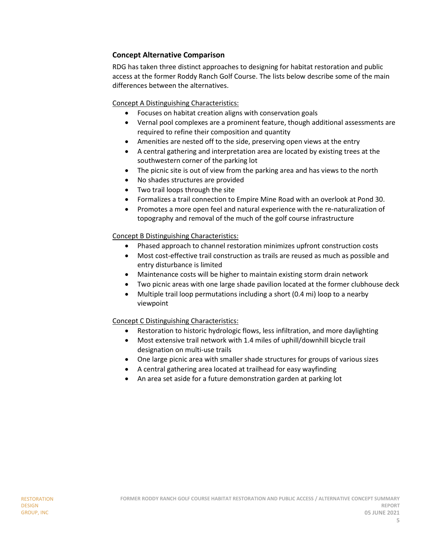# **Concept Alternative Comparison**

RDG has taken three distinct approaches to designing for habitat restoration and public access at the former Roddy Ranch Golf Course. The lists below describe some of the main differences between the alternatives.

Concept A Distinguishing Characteristics:

- Focuses on habitat creation aligns with conservation goals
- Vernal pool complexes are a prominent feature, though additional assessments are required to refine their composition and quantity
- Amenities are nested off to the side, preserving open views at the entry
- A central gathering and interpretation area are located by existing trees at the southwestern corner of the parking lot
- The picnic site is out of view from the parking area and has views to the north
- No shades structures are provided
- Two trail loops through the site
- Formalizes a trail connection to Empire Mine Road with an overlook at Pond 30.
- Promotes a more open feel and natural experience with the re-naturalization of topography and removal of the much of the golf course infrastructure

### Concept B Distinguishing Characteristics:

- Phased approach to channel restoration minimizes upfront construction costs
- Most cost-effective trail construction as trails are reused as much as possible and entry disturbance is limited
- Maintenance costs will be higher to maintain existing storm drain network
- Two picnic areas with one large shade pavilion located at the former clubhouse deck
- Multiple trail loop permutations including a short (0.4 mi) loop to a nearby viewpoint

# Concept C Distinguishing Characteristics:

- Restoration to historic hydrologic flows, less infiltration, and more daylighting
- Most extensive trail network with 1.4 miles of uphill/downhill bicycle trail designation on multi-use trails
- One large picnic area with smaller shade structures for groups of various sizes
- A central gathering area located at trailhead for easy wayfinding
- An area set aside for a future demonstration garden at parking lot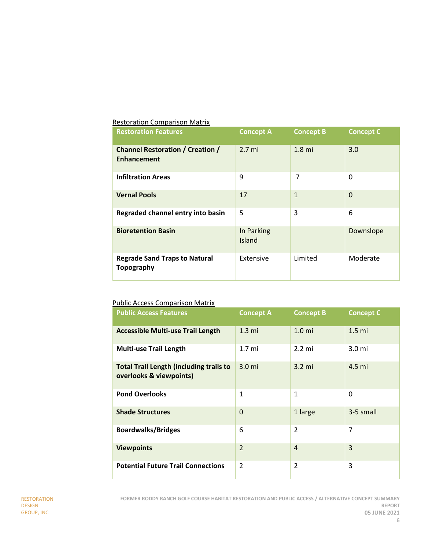### Restoration Comparison Matrix

| <b>Restoration Features</b>                                   | <b>Concept A</b>     | <b>Concept B</b>  | <b>Concept C</b> |
|---------------------------------------------------------------|----------------------|-------------------|------------------|
| <b>Channel Restoration / Creation /</b><br><b>Enhancement</b> | $2.7 \text{ mi}$     | 1.8 <sub>mi</sub> | 3.0              |
| <b>Infiltration Areas</b>                                     | 9                    | 7                 | $\Omega$         |
| <b>Vernal Pools</b>                                           | 17                   | $\mathbf{1}$      | $\Omega$         |
| Regraded channel entry into basin                             | 5                    | 3                 | 6                |
| <b>Bioretention Basin</b>                                     | In Parking<br>Island |                   | Downslope        |
| <b>Regrade Sand Traps to Natural</b><br><b>Topography</b>     | Extensive            | Limited           | Moderate         |

# Public Access Comparison Matrix

| <b>Public Access Features</b>                                             | <b>Concept A</b> | <b>Concept B</b>  | <b>Concept C</b>  |
|---------------------------------------------------------------------------|------------------|-------------------|-------------------|
| <b>Accessible Multi-use Trail Length</b>                                  | $1.3 \text{ mi}$ | 1.0 <sub>mi</sub> | 1.5 <sub>m</sub>  |
| <b>Multi-use Trail Length</b>                                             | 1.7 <sub>m</sub> | $2.2 \text{ mi}$  | 3.0 <sub>mi</sub> |
| <b>Total Trail Length (including trails to</b><br>overlooks & viewpoints) | 3.0 <sub>m</sub> | $3.2 \text{ mi}$  | 4.5 mi            |
| <b>Pond Overlooks</b>                                                     | 1                | 1                 | 0                 |
| <b>Shade Structures</b>                                                   | $\Omega$         | 1 large           | 3-5 small         |
| <b>Boardwalks/Bridges</b>                                                 | 6                | $\mathfrak{p}$    | 7                 |
| <b>Viewpoints</b>                                                         | $\overline{2}$   | $\overline{4}$    | 3                 |
| <b>Potential Future Trail Connections</b>                                 | $\mathfrak{p}$   | $\overline{2}$    | 3                 |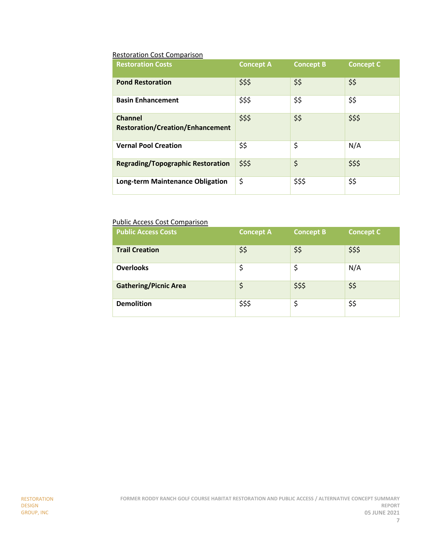# Restoration Cost Comparison

| <b>Restoration Costs</b>                                  | <b>Concept A</b> | <b>Concept B</b> | <b>Concept C</b> |
|-----------------------------------------------------------|------------------|------------------|------------------|
| <b>Pond Restoration</b>                                   | \$\$\$           | \$\$             | \$\$             |
| <b>Basin Enhancement</b>                                  | \$\$\$           | \$\$             | \$\$             |
| <b>Channel</b><br><b>Restoration/Creation/Enhancement</b> | \$\$\$           | \$\$             | \$\$\$           |
| <b>Vernal Pool Creation</b>                               | \$\$             | \$               | N/A              |
| <b>Regrading/Topographic Restoration</b>                  | \$\$\$           | \$               | \$\$\$           |
| Long-term Maintenance Obligation                          | \$               | \$\$\$           | \$\$             |

# Public Access Cost Comparison

| <b>Public Access Costs</b>   | <b>Concept A</b> | <b>Concept B</b> | <b>Concept C</b> |
|------------------------------|------------------|------------------|------------------|
| <b>Trail Creation</b>        | \$\$             | \$\$             | \$\$\$           |
| <b>Overlooks</b>             | \$               | \$               | N/A              |
| <b>Gathering/Picnic Area</b> | \$               | \$\$\$           | \$\$             |
| <b>Demolition</b>            | \$\$\$           | \$               | \$\$             |